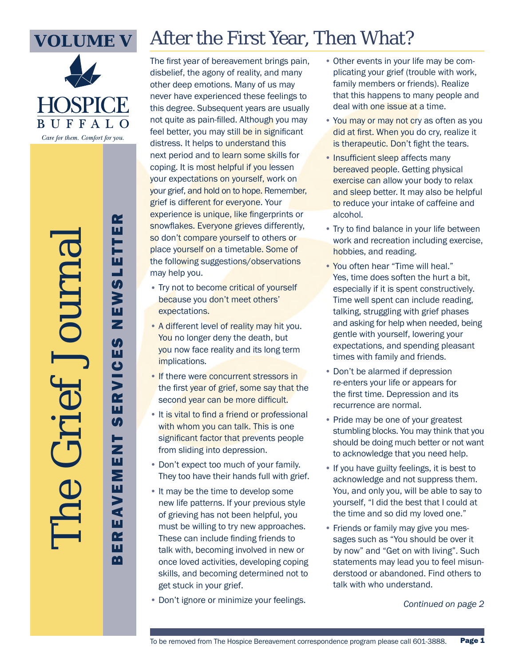

**BUFFA** Care for them. Comfort for you.

The Grief Journal

### After the First Year, Then What?

The first year of bereavement brings pain, disbelief, the agony of reality, and many other deep emotions. Many of us may never have experienced these feelings to this degree. Subsequent years are usually not quite as pain-filled. Although you may feel better, you may still be in significant distress. It helps to understand this next period and to learn some skills for coping. It is most helpful if you lessen your expectations on yourself, work on your grief, and hold on to hope. Remember, grief is different for everyone. Your experience is unique, like fingerprints or snowflakes. Everyone grieves differently, so don't compare yourself to others or place yourself on a timetable. Some of the following suggestions/observations may help you.

- Try not to become critical of yourself because you don't meet others' expectations.
- A different level of reality may hit you. You no longer deny the death, but you now face reality and its long term implications.
- If there were concurrent stressors in the first year of grief, some say that the second year can be more difficult.
- It is vital to find a friend or professional with whom you can talk. This is one significant factor that prevents people from sliding into depression.
- Don't expect too much of your family. They too have their hands full with grief.
- It may be the time to develop some new life patterns. If your previous style of grieving has not been helpful, you must be willing to try new approaches. These can include finding friends to talk with, becoming involved in new or once loved activities, developing coping skills, and becoming determined not to get stuck in your grief.
- Don't ignore or minimize your feelings.
- Other events in your life may be complicating your grief (trouble with work, family members or friends). Realize that this happens to many people and deal with one issue at a time.
- You may or may not cry as often as you did at first. When you do cry, realize it is therapeutic. Don't fight the tears.
- Insufficient sleep affects many bereaved people. Getting physical exercise can allow your body to relax and sleep better. It may also be helpful to reduce your intake of caffeine and alcohol.
- Try to find balance in your life between work and recreation including exercise, hobbies, and reading.
- You often hear "Time will heal." Yes, time does soften the hurt a bit, especially if it is spent constructively. Time well spent can include reading, talking, struggling with grief phases and asking for help when needed, being gentle with yourself, lowering your expectations, and spending pleasant times with family and friends.
- Don't be alarmed if depression re-enters your life or appears for the first time. Depression and its recurrence are normal.
- Pride may be one of your greatest stumbling blocks. You may think that you should be doing much better or not want to acknowledge that you need help.
- If you have guilty feelings, it is best to acknowledge and not suppress them. You, and only you, will be able to say to yourself, "I did the best that I could at the time and so did my loved one."
- Friends or family may give you messages such as "You should be over it by now" and "Get on with living". Such statements may lead you to feel misunderstood or abandoned. Find others to talk with who understand.

*Continued on page 2*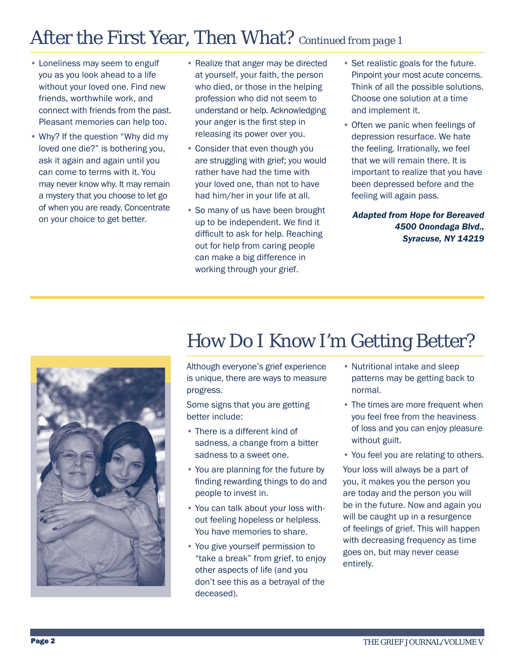### After the First Year, Then What? *Continued from page 1*

- Loneliness may seem to engulf you as you look ahead to a life without your loved one. Find new friends, worthwhile work, and connect with friends from the past. Pleasant memories can help too.
- Why? If the question "Why did my loved one die?" is bothering you, ask it again and again until you can come to terms with it. You may never know why. It may remain a mystery that you choose to let go of when you are ready. Concentrate on your choice to get better.
- Realize that anger may be directed at yourself, your faith, the person who died, or those in the helping profession who did not seem to understand or help. Acknowledging your anger is the first step in releasing its power over you.
- Consider that even though you are struggling with grief; you would rather have had the time with your loved one, than not to have had him/her in your life at all.
- So many of us have been brought up to be independent. We find it difficult to ask for help. Reaching out for help from caring people can make a big difference in working through your grief.
- Set realistic goals for the future. Pinpoint your most acute concerns. Think of all the possible solutions. Choose one solution at a time and implement it.
- Often we panic when feelings of depression resurface. We hate the feeling. Irrationally, we feel that we will remain there. It is important to realize that you have been depressed before and the feeling will again pass.

*Adapted from Hope for Bereaved 4500 Onondaga Blvd., Syracuse, NY 14219*



#### How Do I Know I'm Getting Better?

Although everyone's grief experience is unique, there are ways to measure progress.

Some signs that you are getting better include:

- There is a different kind of sadness, a change from a bitter sadness to a sweet one.
- You are planning for the future by finding rewarding things to do and people to invest in.
- You can talk about your loss without feeling hopeless or helpless. You have memories to share.
- You give yourself permission to "take a break" from grief, to enjoy other aspects of life (and you don't see this as a betrayal of the deceased).
- Nutritional intake and sleep patterns may be getting back to normal.
- The times are more frequent when you feel free from the heaviness of loss and you can enjoy pleasure without guilt.
- You feel you are relating to others.

Your loss will always be a part of you, it makes you the person you are today and the person you will be in the future. Now and again you will be caught up in a resurgence of feelings of grief. This will happen with decreasing frequency as time goes on, but may never cease entirely.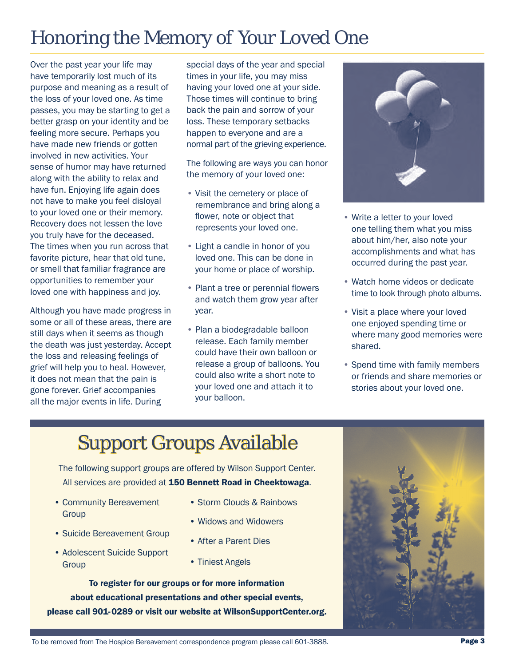## Honoring the Memory of Your Loved One

Over the past year your life may have temporarily lost much of its purpose and meaning as a result of the loss of your loved one. As time passes, you may be starting to get a better grasp on your identity and be feeling more secure. Perhaps you have made new friends or gotten involved in new activities. Your sense of humor may have returned along with the ability to relax and have fun. Enjoying life again does not have to make you feel disloyal to your loved one or their memory. Recovery does not lessen the love you truly have for the deceased. The times when you run across that favorite picture, hear that old tune, or smell that familiar fragrance are opportunities to remember your loved one with happiness and joy.

Although you have made progress in some or all of these areas, there are still days when it seems as though the death was just yesterday. Accept the loss and releasing feelings of grief will help you to heal. However, it does not mean that the pain is gone forever. Grief accompanies all the major events in life. During

special days of the year and special times in your life, you may miss having your loved one at your side. Those times will continue to bring back the pain and sorrow of your loss. These temporary setbacks happen to everyone and are a normal part of the grieving experience.

The following are ways you can honor the memory of your loved one:

- Visit the cemetery or place of remembrance and bring along a flower, note or object that represents your loved one.
- Light a candle in honor of you loved one. This can be done in your home or place of worship.
- Plant a tree or perennial flowers and watch them grow year after year.
- Plan a biodegradable balloon release. Each family member could have their own balloon or release a group of balloons. You could also write a short note to your loved one and attach it to your balloon.



- Write a letter to your loved one telling them what you miss about him/her, also note your accomplishments and what has occurred during the past year.
- Watch home videos or dedicate time to look through photo albums.
- Visit a place where your loved one enjoyed spending time or where many good memories were shared.
- Spend time with family members or friends and share memories or stories about your loved one.

# Support Groups Available

The following support groups are offered by Wilson Support Center. All services are provided at 150 Bennett Road in Cheektowaga.

- Community Bereavement **Group**
- Suicide Bereavement Group
- Adolescent Suicide Support **Group**
- Storm Clouds & Rainbows
- Widows and Widowers
- After a Parent Dies
- Tiniest Angels